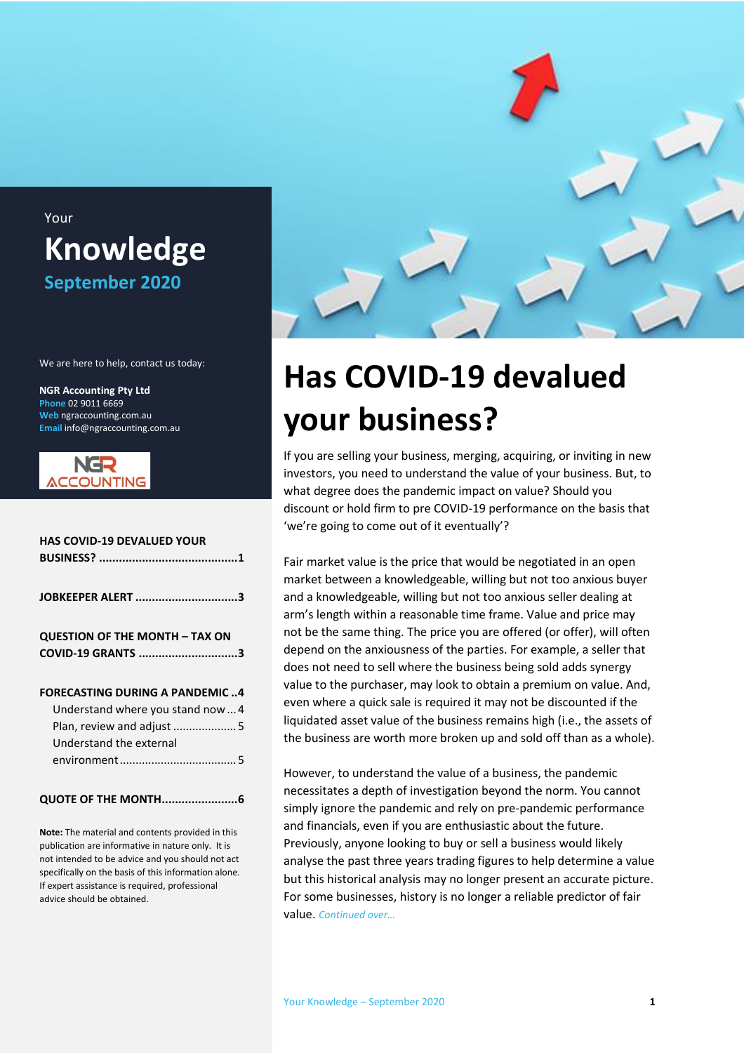### Your **Knowledge September 2020**

We are here to help, contact us today:

**NGR Accounting Pty Ltd Phone** 02 9011 6669 **Web** ngraccounting.com.au **Email** info@ngraccounting.com.au



| <b>HAS COVID-19 DEVALUED YOUR</b>                                                                                                 |
|-----------------------------------------------------------------------------------------------------------------------------------|
| JOBKEEPER ALERT 3                                                                                                                 |
| <b>QUESTION OF THE MONTH - TAX ON</b><br>COVID-19 GRANTS 3                                                                        |
| <b>FORECASTING DURING A PANDEMIC4</b><br>Understand where you stand now 4<br>Plan, review and adjust 5<br>Understand the external |
| <b>QUOTE OF THE MONTH6</b>                                                                                                        |

**Note:** The material and contents provided in this publication are informative in nature only. It is not intended to be advice and you should not act specifically on the basis of this information alone. If expert assistance is required, professional advice should be obtained.



# <span id="page-0-0"></span>**Has COVID-19 devalued your business?**

If you are selling your business, merging, acquiring, or inviting in new investors, you need to understand the value of your business. But, to what degree does the pandemic impact on value? Should you discount or hold firm to pre COVID-19 performance on the basis that 'we're going to come out of it eventually'?

Fair market value is the price that would be negotiated in an open market between a knowledgeable, willing but not too anxious buyer and a knowledgeable, willing but not too anxious seller dealing at arm's length within a reasonable time frame. Value and price may not be the same thing. The price you are offered (or offer), will often depend on the anxiousness of the parties. For example, a seller that does not need to sell where the business being sold adds synergy value to the purchaser, may look to obtain a premium on value. And, even where a quick sale is required it may not be discounted if the liquidated asset value of the business remains high (i.e., the assets of the business are worth more broken up and sold off than as a whole).

However, to understand the value of a business, the pandemic necessitates a depth of investigation beyond the norm. You cannot simply ignore the pandemic and rely on pre-pandemic performance and financials, even if you are enthusiastic about the future. Previously, anyone looking to buy or sell a business would likely analyse the past three years trading figures to help determine a value but this historical analysis may no longer present an accurate picture. For some businesses, history is no longer a reliable predictor of fair value. *Continued over…*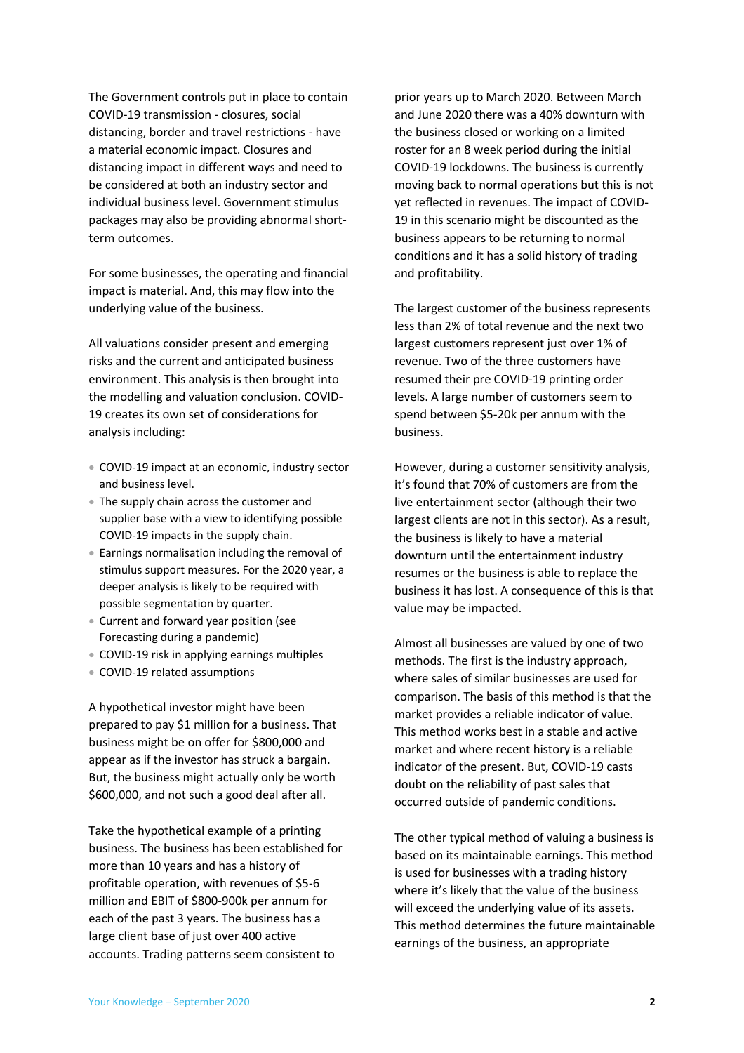The Government controls put in place to contain COVID-19 transmission - closures, social distancing, border and travel restrictions - have a material economic impact. Closures and distancing impact in different ways and need to be considered at both an industry sector and individual business level. Government stimulus packages may also be providing abnormal shortterm outcomes.

For some businesses, the operating and financial impact is material. And, this may flow into the underlying value of the business.

All valuations consider present and emerging risks and the current and anticipated business environment. This analysis is then brought into the modelling and valuation conclusion. COVID-19 creates its own set of considerations for analysis including:

- COVID-19 impact at an economic, industry sector and business level.
- The supply chain across the customer and supplier base with a view to identifying possible COVID-19 impacts in the supply chain.
- Earnings normalisation including the removal of stimulus support measures. For the 2020 year, a deeper analysis is likely to be required with possible segmentation by quarter.
- Current and forward year position (see Forecasting during a pandemic)
- COVID-19 risk in applying earnings multiples
- COVID-19 related assumptions

A hypothetical investor might have been prepared to pay \$1 million for a business. That business might be on offer for \$800,000 and appear as if the investor has struck a bargain. But, the business might actually only be worth \$600,000, and not such a good deal after all.

Take the hypothetical example of a printing business. The business has been established for more than 10 years and has a history of profitable operation, with revenues of \$5-6 million and EBIT of \$800-900k per annum for each of the past 3 years. The business has a large client base of just over 400 active accounts. Trading patterns seem consistent to

prior years up to March 2020. Between March and June 2020 there was a 40% downturn with the business closed or working on a limited roster for an 8 week period during the initial COVID-19 lockdowns. The business is currently moving back to normal operations but this is not yet reflected in revenues. The impact of COVID-19 in this scenario might be discounted as the business appears to be returning to normal conditions and it has a solid history of trading and profitability.

The largest customer of the business represents less than 2% of total revenue and the next two largest customers represent just over 1% of revenue. Two of the three customers have resumed their pre COVID-19 printing order levels. A large number of customers seem to spend between \$5-20k per annum with the business.

However, during a customer sensitivity analysis, it's found that 70% of customers are from the live entertainment sector (although their two largest clients are not in this sector). As a result, the business is likely to have a material downturn until the entertainment industry resumes or the business is able to replace the business it has lost. A consequence of this is that value may be impacted.

Almost all businesses are valued by one of two methods. The first is the industry approach, where sales of similar businesses are used for comparison. The basis of this method is that the market provides a reliable indicator of value. This method works best in a stable and active market and where recent history is a reliable indicator of the present. But, COVID-19 casts doubt on the reliability of past sales that occurred outside of pandemic conditions.

The other typical method of valuing a business is based on its maintainable earnings. This method is used for businesses with a trading history where it's likely that the value of the business will exceed the underlying value of its assets. This method determines the future maintainable earnings of the business, an appropriate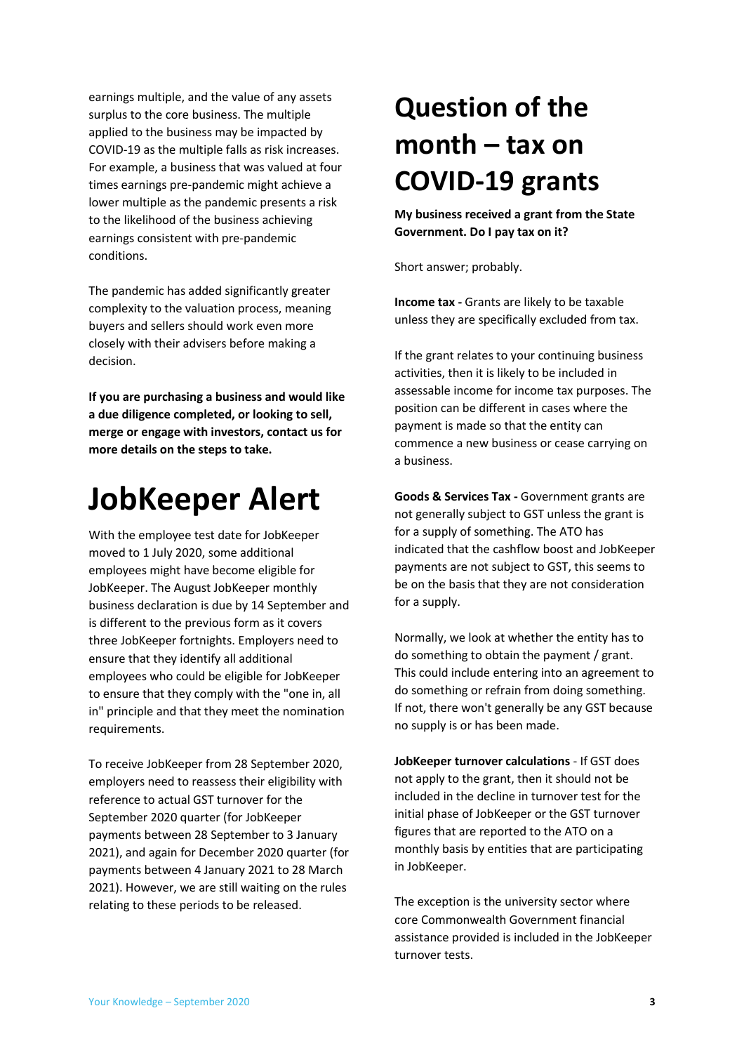earnings multiple, and the value of any assets surplus to the core business. The multiple applied to the business may be impacted by COVID-19 as the multiple falls as risk increases. For example, a business that was valued at four times earnings pre-pandemic might achieve a lower multiple as the pandemic presents a risk to the likelihood of the business achieving earnings consistent with pre-pandemic conditions.

The pandemic has added significantly greater complexity to the valuation process, meaning buyers and sellers should work even more closely with their advisers before making a decision.

**If you are purchasing a business and would like a due diligence completed, or looking to sell, merge or engage with investors, contact us for more details on the steps to take.**

### <span id="page-2-0"></span>**JobKeeper Alert**

With the employee test date for JobKeeper moved to 1 July 2020, some additional employees might have become eligible for JobKeeper. The August JobKeeper monthly business declaration is due by 14 September and is different to the previous form as it covers three JobKeeper fortnights. Employers need to ensure that they identify all additional employees who could be eligible for JobKeeper to ensure that they comply with the "one in, all in" principle and that they meet the nomination requirements.

To receive JobKeeper from 28 September 2020, employers need to reassess their eligibility with reference to actual GST turnover for the September 2020 quarter (for JobKeeper payments between 28 September to 3 January 2021), and again for December 2020 quarter (for payments between 4 January 2021 to 28 March 2021). However, we are still waiting on the rules relating to these periods to be released.

## <span id="page-2-1"></span>**Question of the month – tax on COVID-19 grants**

**My business received a grant from the State Government. Do I pay tax on it?**

Short answer; probably.

**Income tax -** Grants are likely to be taxable unless they are specifically excluded from tax.

If the grant relates to your continuing business activities, then it is likely to be included in assessable income for income tax purposes. The position can be different in cases where the payment is made so that the entity can commence a new business or cease carrying on a business.

**Goods & Services Tax -** Government grants are not generally subject to GST unless the grant is for a supply of something. The ATO has indicated that the cashflow boost and JobKeeper payments are not subject to GST, this seems to be on the basis that they are not consideration for a supply.

Normally, we look at whether the entity has to do something to obtain the payment / grant. This could include entering into an agreement to do something or refrain from doing something. If not, there won't generally be any GST because no supply is or has been made.

**JobKeeper turnover calculations** - If GST does not apply to the grant, then it should not be included in the decline in turnover test for the initial phase of JobKeeper or the GST turnover figures that are reported to the ATO on a monthly basis by entities that are participating in JobKeeper.

The exception is the university sector where core Commonwealth Government financial assistance provided is included in the JobKeeper turnover tests.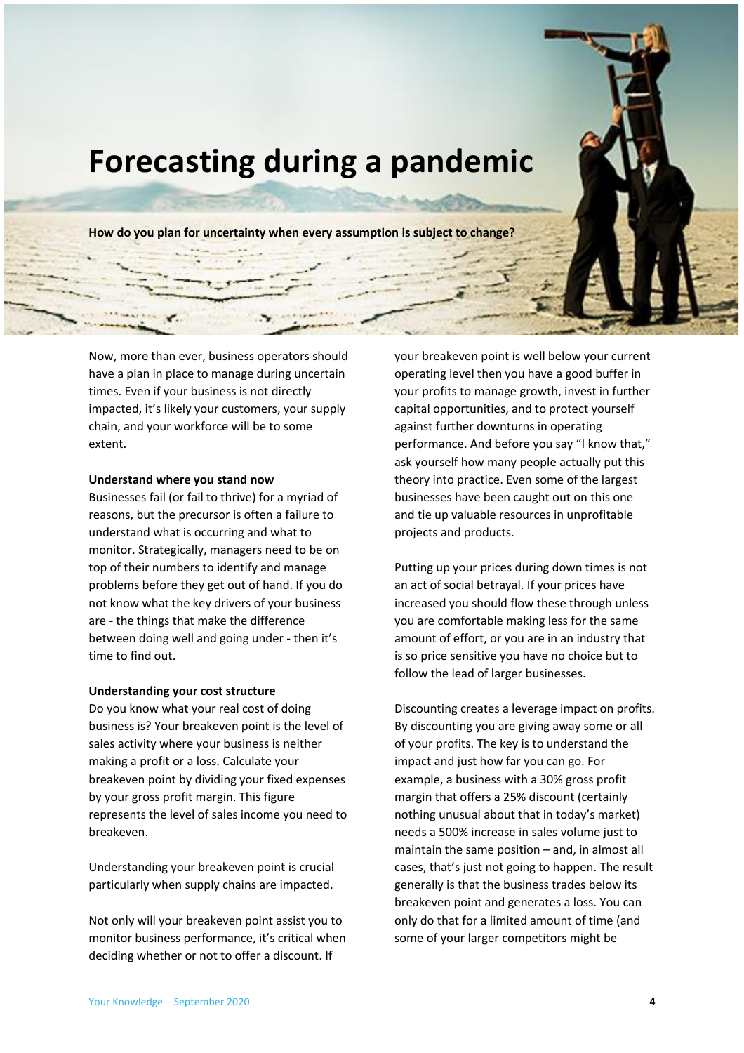<span id="page-3-0"></span>

Now, more than ever, business operators should have a plan in place to manage during uncertain times. Even if your business is not directly impacted, it's likely your customers, your supply chain, and your workforce will be to some extent.

#### <span id="page-3-1"></span>**Understand where you stand now**

Businesses fail (or fail to thrive) for a myriad of reasons, but the precursor is often a failure to understand what is occurring and what to monitor. Strategically, managers need to be on top of their numbers to identify and manage problems before they get out of hand. If you do not know what the key drivers of your business are - the things that make the difference between doing well and going under - then it's time to find out.

#### **Understanding your cost structure**

Do you know what your real cost of doing business is? Your breakeven point is the level of sales activity where your business is neither making a profit or a loss. Calculate your breakeven point by dividing your fixed expenses by your gross profit margin. This figure represents the level of sales income you need to breakeven.

Understanding your breakeven point is crucial particularly when supply chains are impacted.

Not only will your breakeven point assist you to monitor business performance, it's critical when deciding whether or not to offer a discount. If

your breakeven point is well below your current operating level then you have a good buffer in your profits to manage growth, invest in further capital opportunities, and to protect yourself against further downturns in operating performance. And before you say "I know that," ask yourself how many people actually put this theory into practice. Even some of the largest businesses have been caught out on this one and tie up valuable resources in unprofitable projects and products.

Putting up your prices during down times is not an act of social betrayal. If your prices have increased you should flow these through unless you are comfortable making less for the same amount of effort, or you are in an industry that is so price sensitive you have no choice but to follow the lead of larger businesses.

Discounting creates a leverage impact on profits. By discounting you are giving away some or all of your profits. The key is to understand the impact and just how far you can go. For example, a business with a 30% gross profit margin that offers a 25% discount (certainly nothing unusual about that in today's market) needs a 500% increase in sales volume just to maintain the same position – and, in almost all cases, that's just not going to happen. The result generally is that the business trades below its breakeven point and generates a loss. You can only do that for a limited amount of time (and some of your larger competitors might be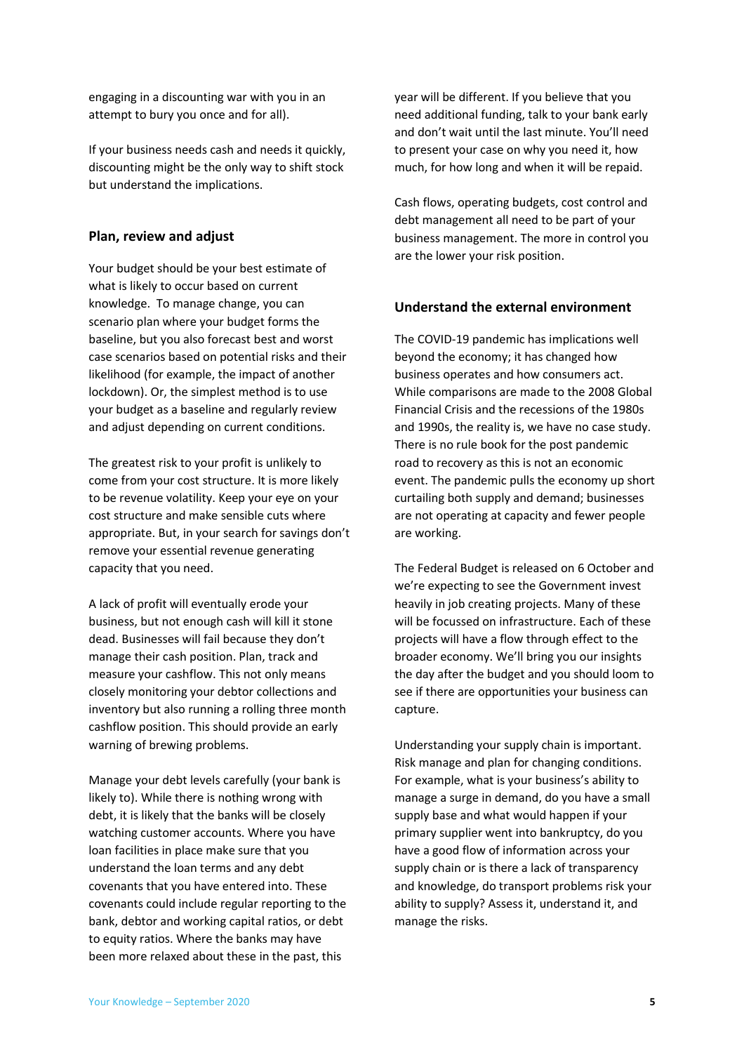engaging in a discounting war with you in an attempt to bury you once and for all).

If your business needs cash and needs it quickly, discounting might be the only way to shift stock but understand the implications.

#### <span id="page-4-0"></span>**Plan, review and adjust**

Your budget should be your best estimate of what is likely to occur based on current knowledge. To manage change, you can scenario plan where your budget forms the baseline, but you also forecast best and worst case scenarios based on potential risks and their likelihood (for example, the impact of another lockdown). Or, the simplest method is to use your budget as a baseline and regularly review and adjust depending on current conditions.

The greatest risk to your profit is unlikely to come from your cost structure. It is more likely to be revenue volatility. Keep your eye on your cost structure and make sensible cuts where appropriate. But, in your search for savings don't remove your essential revenue generating capacity that you need.

A lack of profit will eventually erode your business, but not enough cash will kill it stone dead. Businesses will fail because they don't manage their cash position. Plan, track and measure your cashflow. This not only means closely monitoring your debtor collections and inventory but also running a rolling three month cashflow position. This should provide an early warning of brewing problems.

Manage your debt levels carefully (your bank is likely to). While there is nothing wrong with debt, it is likely that the banks will be closely watching customer accounts. Where you have loan facilities in place make sure that you understand the loan terms and any debt covenants that you have entered into. These covenants could include regular reporting to the bank, debtor and working capital ratios, or debt to equity ratios. Where the banks may have been more relaxed about these in the past, this

year will be different. If you believe that you need additional funding, talk to your bank early and don't wait until the last minute. You'll need to present your case on why you need it, how much, for how long and when it will be repaid.

Cash flows, operating budgets, cost control and debt management all need to be part of your business management. The more in control you are the lower your risk position.

#### <span id="page-4-1"></span>**Understand the external environment**

The COVID-19 pandemic has implications well beyond the economy; it has changed how business operates and how consumers act. While comparisons are made to the 2008 Global Financial Crisis and the recessions of the 1980s and 1990s, the reality is, we have no case study. There is no rule book for the post pandemic road to recovery as this is not an economic event. The pandemic pulls the economy up short curtailing both supply and demand; businesses are not operating at capacity and fewer people are working.

The Federal Budget is released on 6 October and we're expecting to see the Government invest heavily in job creating projects. Many of these will be focussed on infrastructure. Each of these projects will have a flow through effect to the broader economy. We'll bring you our insights the day after the budget and you should loom to see if there are opportunities your business can capture.

Understanding your supply chain is important. Risk manage and plan for changing conditions. For example, what is your business's ability to manage a surge in demand, do you have a small supply base and what would happen if your primary supplier went into bankruptcy, do you have a good flow of information across your supply chain or is there a lack of transparency and knowledge, do transport problems risk your ability to supply? Assess it, understand it, and manage the risks.